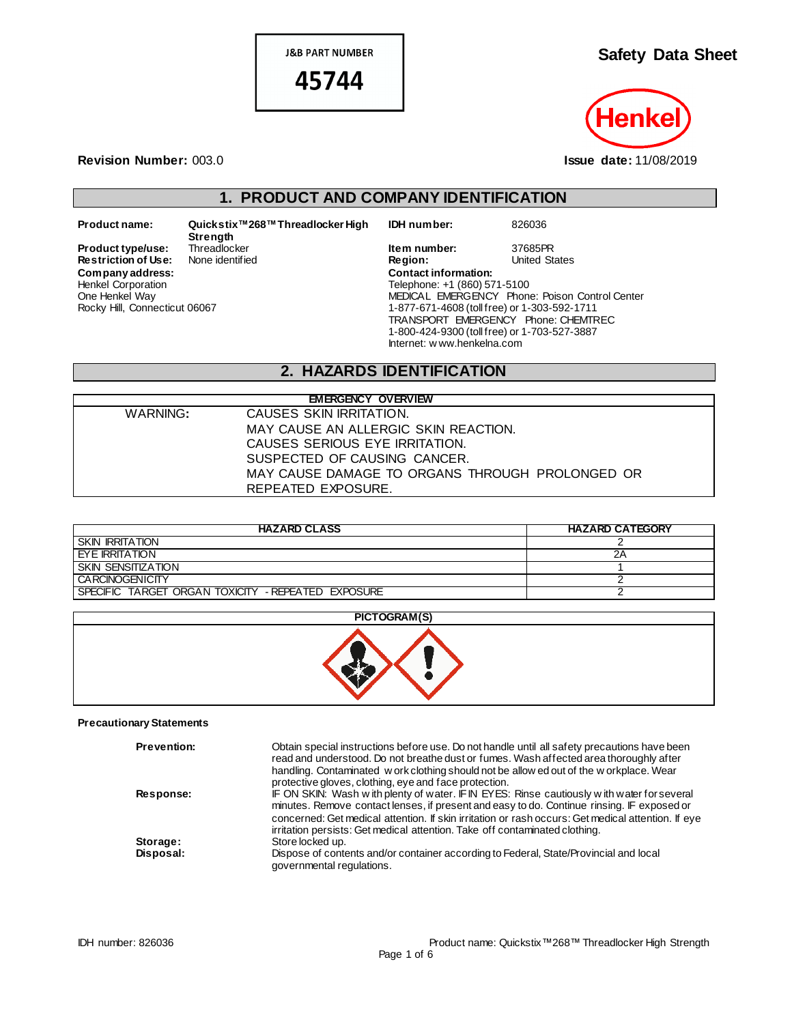**J&B PART NUMBER** 45744

**Safety Data Sheet**

Hei

**Revision Number:** 003.0 **Issue date:** 11/08/2019

# **1. PRODUCT AND COMPANY IDENTIFICATION**

**Restriction of Use:** Henkel Corporation One Henkel Way Rocky Hill, Connecticut 06067

**Product name: Quickstix™268™Threadlocker High Strength Company address: Contact information:**

**IDH number:** 826036

**Product type/use:** Threadlocker **Interpretent of the Interpretent Construct type/use: 17685PR<br>
<b>Restriction of Use:** None identified **Interpretent Construct Construct Construct** Construct Construct Construct Telephone: +1 (860) 571-5100 MEDICAL EMERGENCY Phone: Poison Control Center 1-877-671-4608 (toll free) or 1-303-592-1711 TRANSPORT EMERGENCY Phone: CHEMTREC 1-800-424-9300 (toll free) or 1-703-527-3887 Internet: w ww.henkelna.com

# **2. HAZARDS IDENTIFICATION**

|          | <b>EMERGENCY OVERVIEW</b>                       |
|----------|-------------------------------------------------|
| WARNING: | CAUSES SKIN IRRITATION.                         |
|          | MAY CAUSE AN ALLERGIC SKIN REACTION.            |
|          | CAUSES SERIOUS EYE IRRITATION.                  |
|          | SUSPECTED OF CAUSING CANCER.                    |
|          | MAY CAUSE DAMAGE TO ORGANS THROUGH PROLONGED OR |
|          | REPEATED EXPOSURE.                              |

| <b>HAZARD CLASS</b>                                | <b>HAZARD CATEGORY</b> |
|----------------------------------------------------|------------------------|
| <b>SKIN IRRITATION</b>                             |                        |
| EYE IRRITATION                                     | 2Α                     |
| SKIN SENSITIZATION                                 |                        |
| <b>CARCINOGENICITY</b>                             |                        |
| SPECIFIC TARGET ORGAN TOXICITY - REPEATED EXPOSURE |                        |



#### **Precautionary Statements**

| <b>Prevention:</b> | Obtain special instructions before use. Do not handle until all safety precautions have been<br>read and understood. Do not breathe dust or fumes. Wash affected area thoroughly after<br>handling. Contaminated w ork clothing should not be allow ed out of the w orkplace. Wear<br>protective gloves, clothing, eye and face protection.                                   |
|--------------------|-------------------------------------------------------------------------------------------------------------------------------------------------------------------------------------------------------------------------------------------------------------------------------------------------------------------------------------------------------------------------------|
| Response:          | IF ON SKIN: Wash with plenty of water. IF IN EYES: Rinse cautiously with water for several<br>minutes. Remove contact lenses, if present and easy to do. Continue rinsing. IF exposed or<br>concerned: Get medical attention. If skin irritation or rash occurs: Get medical attention. If eye<br>irritation persists: Get medical attention. Take off contaminated clothing. |
| Storage:           | Store locked up.                                                                                                                                                                                                                                                                                                                                                              |
| Disposal:          | Dispose of contents and/or container according to Federal, State/Provincial and local<br>governmental regulations.                                                                                                                                                                                                                                                            |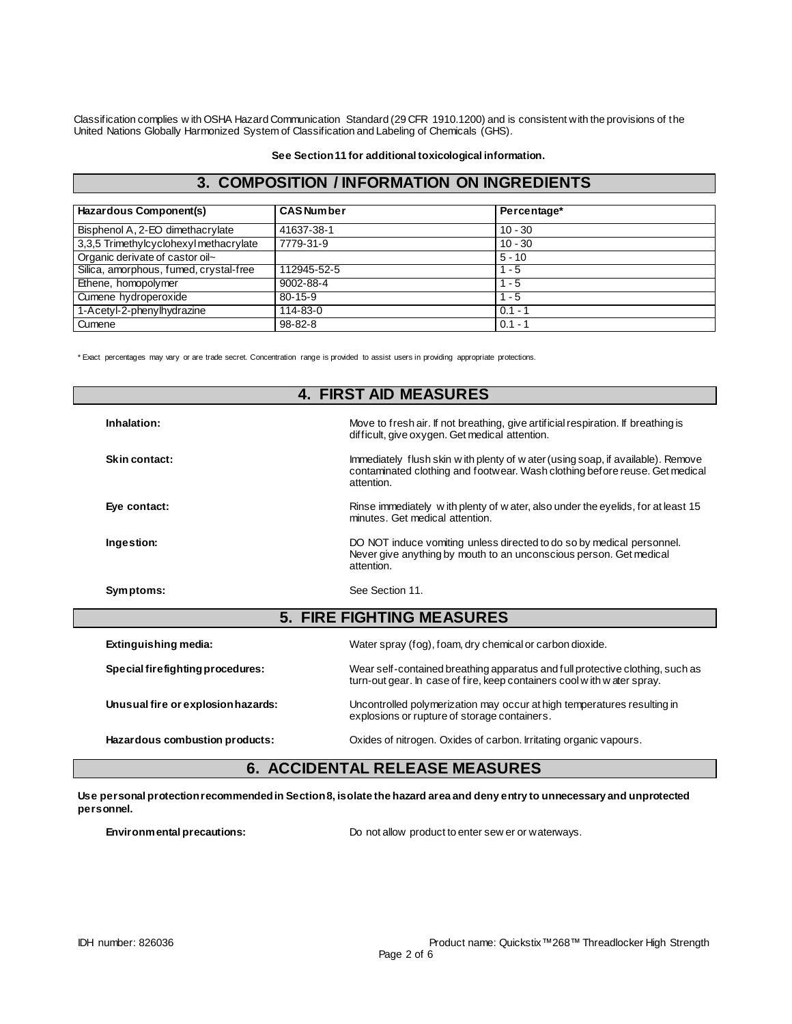Classification complies w ith OSHA Hazard Communication Standard (29 CFR 1910.1200) and is consistent with the provisions of the United Nations Globally Harmonized System of Classification and Labeling of Chemicals (GHS).

**See Section 11 for additional toxicological information.**

## **3. COMPOSITION / INFORMATION ON INGREDIENTS**

| Hazardous Component(s)                 | <b>CAS Number</b> | Percentage* |  |
|----------------------------------------|-------------------|-------------|--|
| Bisphenol A, 2-EO dimethacrylate       | 41637-38-1        | $10 - 30$   |  |
| 3,3,5 Trimethylcyclohexyl methacrylate | 7779-31-9         | $10 - 30$   |  |
| Organic derivate of castor oil~        |                   | $5 - 10$    |  |
| Silica, amorphous, fumed, crystal-free | 112945-52-5       | $1 - 5$     |  |
| Ethene, homopolymer                    | 9002-88-4         | $1 - 5$     |  |
| Cumene hydroperoxide                   | $80 - 15 - 9$     | $1 - 5$     |  |
| 1-Acetyl-2-phenylhydrazine             | 114-83-0          | $0.1 - 1$   |  |
| Cumene                                 | $98 - 82 - 8$     | $0.1 - 1$   |  |

\* Exact percentages may vary or are trade secret. Concentration range is provided to assist users in providing appropriate protections.

|                                    | <b>4. FIRST AID MEASURES</b>                                                                                                                                                  |
|------------------------------------|-------------------------------------------------------------------------------------------------------------------------------------------------------------------------------|
| Inhalation:                        | Move to fresh air. If not breathing, give artificial respiration. If breathing is<br>difficult, give oxygen. Get medical attention.                                           |
| Skin contact:                      | Immediately flush skin w ith plenty of w ater (using soap, if available). Remove<br>contaminated clothing and footwear. Wash clothing before reuse. Get medical<br>attention. |
| Eye contact:                       | Rinse immediately with plenty of water, also under the eyelids, for at least 15<br>minutes. Get medical attention.                                                            |
| Ingestion:                         | DO NOT induce vomiting unless directed to do so by medical personnel.<br>Never give anything by mouth to an unconscious person. Get medical<br>attention.                     |
| Symptoms:                          | See Section 11.                                                                                                                                                               |
|                                    | <b>5. FIRE FIGHTING MEASURES</b>                                                                                                                                              |
| Extinguishing media:               | Water spray (fog), foam, dry chemical or carbon dioxide.                                                                                                                      |
| Special firefighting procedures:   | Wear self-contained breathing apparatus and full protective clothing, such as<br>turn-out gear. In case of fire, keep containers cool with water spray.                       |
| Unusual fire or explosion hazards: | Uncontrolled polymerization may occur at high temperatures resulting in<br>explosions or rupture of storage containers.                                                       |
| Hazardous combustion products:     | Oxides of nitrogen. Oxides of carbon. Irritating organic vapours.                                                                                                             |

# **6. ACCIDENTAL RELEASE MEASURES**

**Use personal protection recommended in Section 8, isolate the hazard area and deny entry to unnecessary and unprotected personnel.**

**Environmental precautions:** Do not allow product to enter sew er or waterways.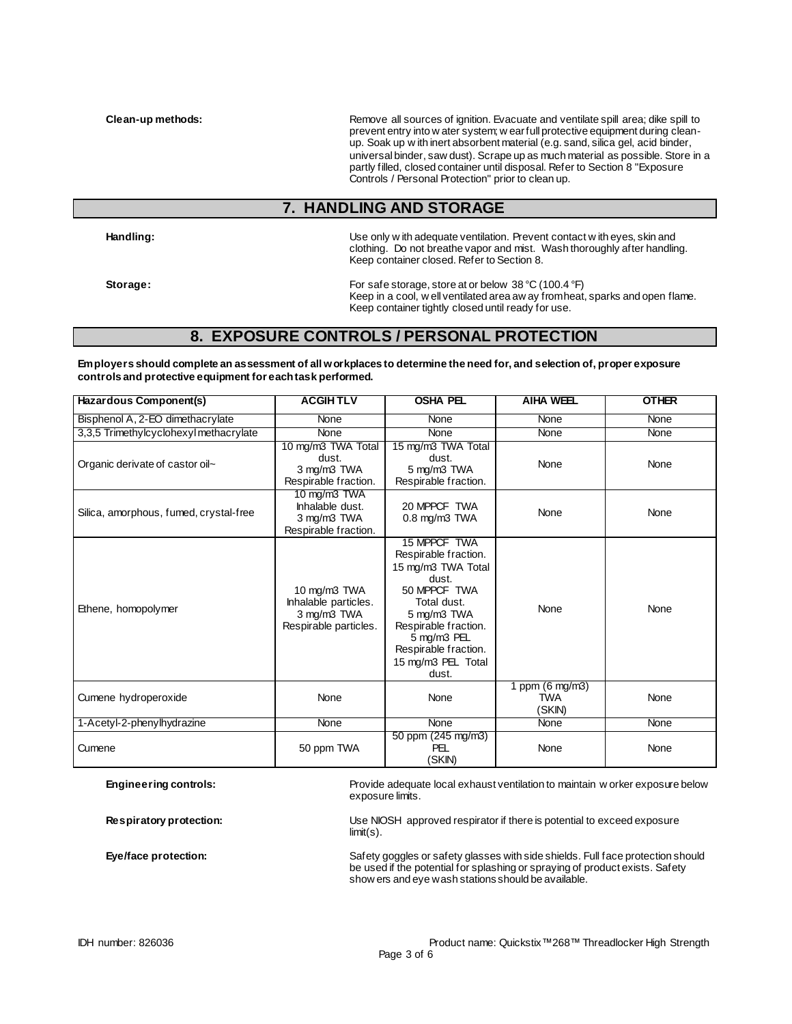**Clean-up methods:** Remove all sources of ignition. Evacuate and ventilate spill area; dike spill to and ventilate spill area; dike spill to prevent entry into w ater system; w ear full protective equipment during cleanup. Soak up w ith inert absorbent material (e.g. sand, silica gel, acid binder, universal binder, saw dust). Scrape up as much material as possible. Store in a partly filled, closed container until disposal. Refer to Section 8 "Exposure Controls / Personal Protection" prior to clean up.

#### **7. HANDLING AND STORAGE**

**Handling:** Use only w ith adequate ventilation. Prevent contact w ith eyes, skin and clothing. Do not breathe vapor and mist. Wash thoroughly after handling. Keep container closed. Refer to Section 8.

**Storage:** For safe storage, store at or below 38 °C (100.4 °F) Keep in a cool, w ell ventilated area aw ay from heat, sparks and open flame. Keep container tightly closed until ready for use.

## **8. EXPOSURE CONTROLS / PERSONAL PROTECTION**

**Employers should complete an assessment of all workplaces to determine the need for, and selection of, proper exposure controls and protective equipment for each task performed.**

| Hazardous Component(s)                 | <b>ACGIHTLV</b>                                                              | <b>OSHA PEL</b>                                                                                                                                                                                                 | <b>AIHA WEEL</b>                                  | <b>OTHER</b> |
|----------------------------------------|------------------------------------------------------------------------------|-----------------------------------------------------------------------------------------------------------------------------------------------------------------------------------------------------------------|---------------------------------------------------|--------------|
| Bisphenol A, 2-EO dimethacrylate       | None                                                                         | None                                                                                                                                                                                                            | None                                              | None         |
| 3,3,5 Trimethylcyclohexyl methacrylate | None                                                                         | <b>None</b>                                                                                                                                                                                                     | None                                              | None         |
| Organic derivate of castor oil~        | 10 mg/m3 TWA Total<br>dust.<br>3 mg/m3 TWA<br>Respirable fraction.           | 15 mg/m3 TWA Total<br>dust.<br>5 mg/m3 TWA<br>Respirable fraction.                                                                                                                                              | None                                              | None         |
| Silica, amorphous, fumed, crystal-free | 10 mg/m3 TWA<br>Inhalable dust.<br>3 mg/m3 TWA<br>Respirable fraction.       | 20 MPPCF TWA<br>$0.8$ mg/m $3$ TWA                                                                                                                                                                              | None                                              | None         |
| Ethene, homopolymer                    | 10 mg/m3 TWA<br>Inhalable particles.<br>3 mg/m3 TWA<br>Respirable particles. | 15 MPPCF TWA<br>Respirable fraction.<br>15 mg/m3 TWA Total<br>dust.<br>50 MPPCF TWA<br>Total dust.<br>5 mg/m3 TWA<br>Respirable fraction.<br>5 mg/m3 PEL<br>Respirable fraction.<br>15 mg/m3 PEL Total<br>dust. | None                                              | None         |
| Cumene hydroperoxide                   | None                                                                         | None                                                                                                                                                                                                            | 1 ppm $(6 \text{ mg/m3})$<br><b>TWA</b><br>(SKIN) | None         |
| 1-Acetyl-2-phenylhydrazine             | None                                                                         | None                                                                                                                                                                                                            | None                                              | None         |
| Cumene                                 | 50 ppm TWA                                                                   | 50 ppm (245 mg/m3)<br><b>PEL</b><br>(SKIN)                                                                                                                                                                      | None                                              | None         |

**Engineering controls:** Provide adequate local exhaust ventilation to maintain w orker exposure below exposure limits.

**Respiratory protection:** Use NIOSH approved respirator if there is potential to exceed exposure limit(s).

**Eye/face protection:** Safety goggles or safety glasses with side shields. Full face protection should Safety goggles or safety glasses with side shields. Full face protection should be used if the potential for splashing or spraying of product exists. Safety show ers and eye wash stations should be available.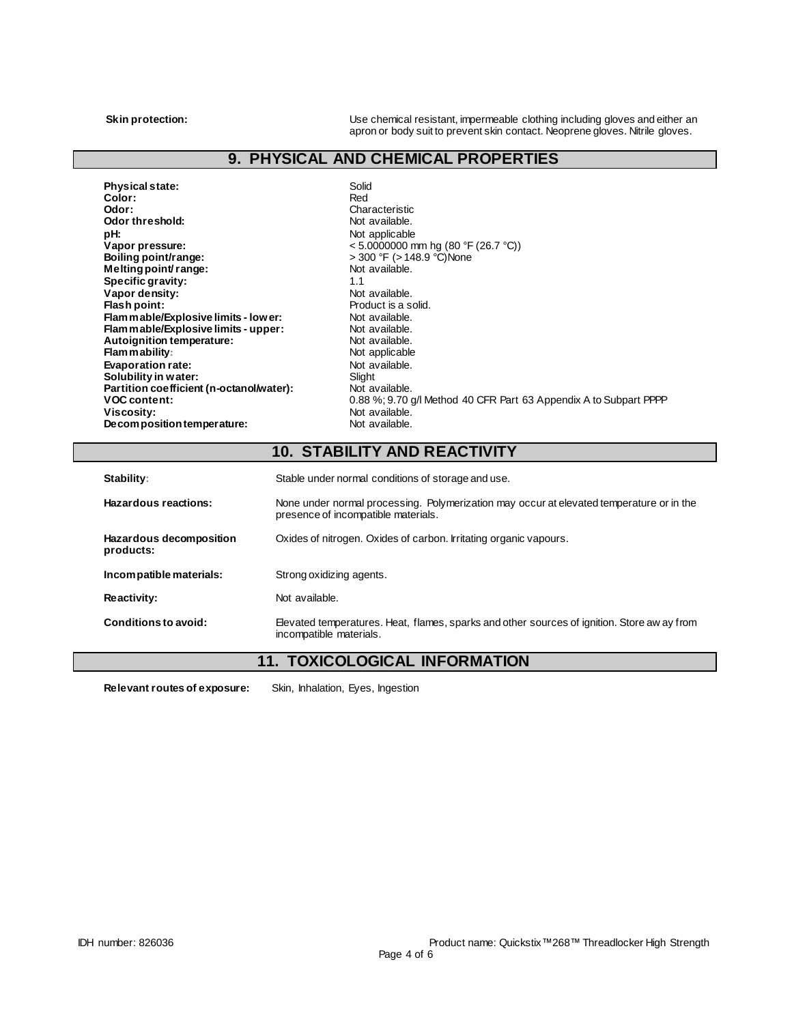**Skin protection:** Use chemical resistant, impermeable clothing including gloves and either an and including gloves and either an apron or body suit to prevent skin contact. Neoprene gloves. Nitrile gloves.

# **9. PHYSICAL AND CHEMICAL PROPERTIES**

| Physical state:                          | Solid                                                             |
|------------------------------------------|-------------------------------------------------------------------|
| Color:                                   | Red                                                               |
| Odor:                                    | Characteristic                                                    |
| Odor threshold:                          | Not available.                                                    |
| pH:                                      | Not applicable                                                    |
| Vapor pressure:                          | $< 5.0000000$ mm hg (80 °F (26.7 °C))                             |
| Boiling point/range:                     | > 300 °F (> 148.9 °C) None                                        |
| Melting point range:                     | Not available.                                                    |
| Specific gravity:                        | 1.1                                                               |
| Vapor density:                           | Not available.                                                    |
| Flash point:                             | Product is a solid.                                               |
| Flam mable/Explosive limits - low er:    | Not available.                                                    |
| Flam mable/Explosive limits - upper:     | Not available.                                                    |
| Autoignition temperature:                | Not available.                                                    |
| <b>Flammability:</b>                     | Not applicable                                                    |
| <b>Evaporation rate:</b>                 | Not available.                                                    |
| Solubility in water:                     | Slight                                                            |
| Partition coefficient (n-octanol/water): | Not available.                                                    |
| <b>VOC content:</b>                      | 0.88 %; 9.70 g/l Method 40 CFR Part 63 Appendix A to Subpart PPPP |
| Viscosity:                               | Not available.                                                    |
| Decomposition temperature:               | Not available.                                                    |
|                                          |                                                                   |

# **10. STABILITY AND REACTIVITY**

| Stability:                           | Stable under normal conditions of storage and use.                                                                              |
|--------------------------------------|---------------------------------------------------------------------------------------------------------------------------------|
| Hazardous reactions:                 | None under normal processing. Polymerization may occur at elevated temperature or in the<br>presence of incompatible materials. |
| Hazardous decomposition<br>products: | Oxides of nitrogen. Oxides of carbon. Irritating organic vapours.                                                               |
| Incompatible materials:              | Strong oxidizing agents.                                                                                                        |
| <b>Reactivity:</b>                   | Not available.                                                                                                                  |
| Conditions to avoid:                 | Elevated temperatures. Heat, flames, sparks and other sources of ignition. Store aw ay from<br>incompatible materials.          |

## **11. TOXICOLOGICAL INFORMATION**

**Relevant routes of exposure:** Skin, Inhalation, Eyes, Ingestion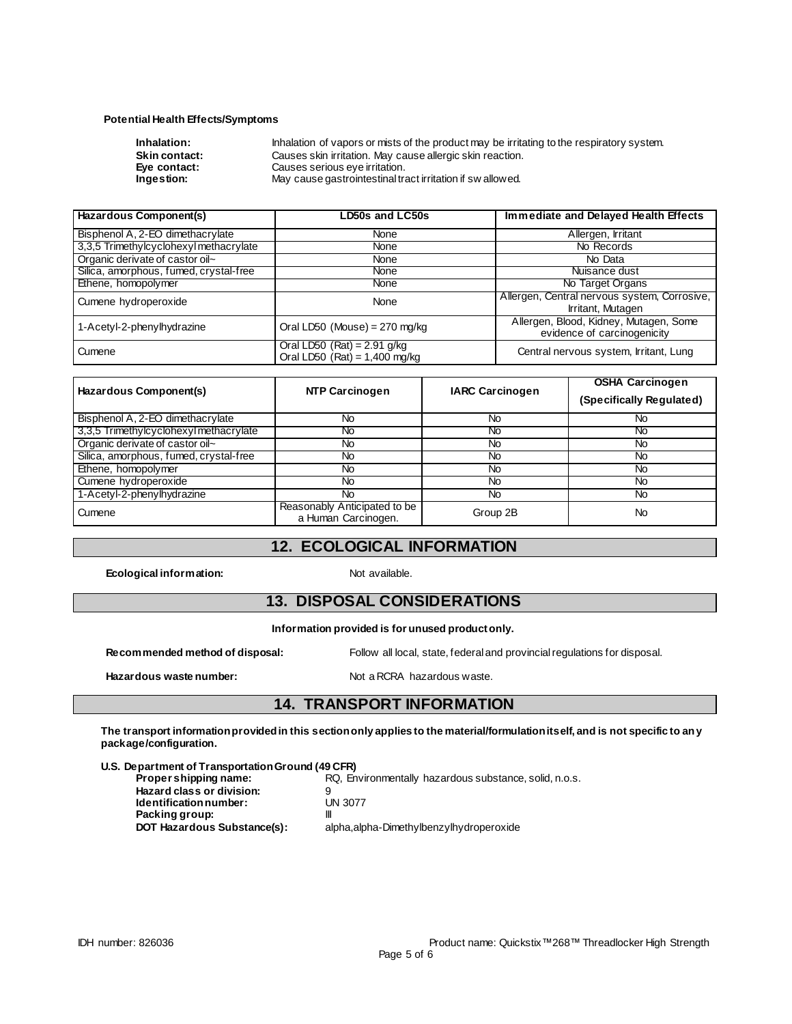#### **Potential Health Effects/Symptoms**

| Inhalation:          | Inhalation of vapors or mists of the product may be irritating to the respiratory system. |
|----------------------|-------------------------------------------------------------------------------------------|
| <b>Skin contact:</b> | Causes skin irritation. May cause allergic skin reaction.                                 |
| Eve contact:         | Causes serious eye irritation.                                                            |
| Ingestion:           | May cause gastrointestinal tract irritation if sw allowed.                                |
|                      |                                                                                           |

| Hazardous Component(s)                 | LD50s and LC50s                                                  | Immediate and Delayed Health Effects                                  |
|----------------------------------------|------------------------------------------------------------------|-----------------------------------------------------------------------|
| Bisphenol A, 2-EO dimethacrylate       | None                                                             | Allergen, Irritant                                                    |
| 3,3,5 Trimethylcyclohexyl methacrylate | None                                                             | No Records                                                            |
| Organic derivate of castor oil~        | None                                                             | No Data                                                               |
| Silica, amorphous, fumed, crystal-free | None                                                             | Nuisance dust                                                         |
| Ethene, homopolymer                    | None                                                             | No Target Organs                                                      |
| Cumene hydroperoxide                   | None                                                             | Allergen, Central nervous system, Corrosive,<br>Irritant, Mutagen     |
| 1-Acetyl-2-phenylhydrazine             | Oral LD50 (Mouse) = $270$ mg/kg                                  | Allergen, Blood, Kidney, Mutagen, Some<br>evidence of carcinogenicity |
| Cumene                                 | Oral LD50 $(Rat) = 2.91$ g/kg<br>Oral LD50 $(Rat) = 1,400$ mg/kg | Central nervous system, Irritant, Lung                                |

| Hazardous Component(s)                 | <b>NTP Carcinogen</b>                               | <b>IARC Carcinogen</b> | <b>OSHA Carcinogen</b><br>(Specifically Regulated) |
|----------------------------------------|-----------------------------------------------------|------------------------|----------------------------------------------------|
| Bisphenol A, 2-EO dimethacrylate       | No                                                  | No                     | No                                                 |
| 3,3,5 Trimethylcyclohexyl methacrylate | No.                                                 | No                     | No                                                 |
| Organic derivate of castor oil~        | No                                                  | No                     | No                                                 |
| Silica, amorphous, fumed, crystal-free | No                                                  | No                     | No                                                 |
| Ethene, homopolymer                    | No.                                                 | <b>No</b>              | <b>No</b>                                          |
| Cumene hydroperoxide                   | No.                                                 | <b>No</b>              | <b>No</b>                                          |
| 1-Acetyl-2-phenylhydrazine             | No.                                                 | No                     | No                                                 |
| Cumene                                 | Reasonably Anticipated to be<br>a Human Carcinogen. | Group 2B               | No                                                 |

#### **12. ECOLOGICAL INFORMATION**

**Ecological information:** Not available.

#### **13. DISPOSAL CONSIDERATIONS**

#### **Information provided is for unused product only.**

Hazardous waste number: Not a RCRA hazardous waste.

**Recommended method of disposal:** Follow all local, state, federal and provincial regulations for disposal.

#### **14. TRANSPORT INFORMATION**

**The transport information provided in this section only applies to the material/formulation itself, and is not specific to any package/configuration.**

**U.S. Department of Transportation Ground (49 CFR)**

**Proper shipping name:** RQ, Environmentally hazardous substance, solid, n.o.s.

**Hazard class or division:** 9<br> **Identification number:** UN 3077  $Identification number:$ **Packing group:** |||<br>**DOT Hazardous Substance(s):** ||

alpha,alpha-Dimethylbenzylhydroperoxide